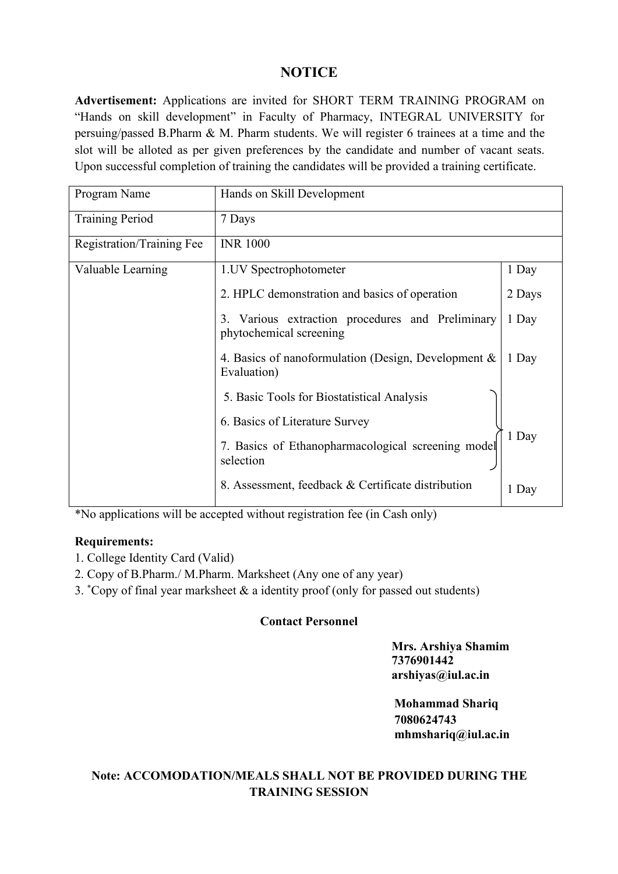## **NOTICE**

**Advertisement:** Applications are invited for SHORT TERM TRAINING PROGRAM on "Hands on skill development" in Faculty of Pharmacy, INTEGRAL UNIVERSITY for persuing/passed B.Pharm & M. Pharm students. We will register 6 trainees at a time and the slot will be alloted as per given preferences by the candidate and number of vacant seats. Upon successful completion of training the candidates will be provided a training certificate.

| Program Name              | Hands on Skill Development                                                     |        |  |  |  |
|---------------------------|--------------------------------------------------------------------------------|--------|--|--|--|
| <b>Training Period</b>    | 7 Days                                                                         |        |  |  |  |
| Registration/Training Fee | <b>INR 1000</b>                                                                |        |  |  |  |
| Valuable Learning         | 1. UV Spectrophotometer                                                        | 1 Day  |  |  |  |
|                           | 2. HPLC demonstration and basics of operation                                  | 2 Days |  |  |  |
|                           | Various extraction procedures and Preliminary<br>3.<br>phytochemical screening | 1 Day  |  |  |  |
|                           | 4. Basics of nanoformulation (Design, Development &<br>Evaluation)             | 1 Day  |  |  |  |
|                           | 5. Basic Tools for Biostatistical Analysis                                     |        |  |  |  |
|                           | 6. Basics of Literature Survey                                                 |        |  |  |  |
|                           | 7. Basics of Ethanopharmacological screening model<br>selection                | 1 Day  |  |  |  |
|                           | 8. Assessment, feedback & Certificate distribution                             | 1 Day  |  |  |  |
|                           |                                                                                |        |  |  |  |

\*No applications will be accepted without registration fee (in Cash only)

#### **Requirements:**

- 1. College Identity Card (Valid)
- 2. Copy of B.Pharm./ M.Pharm. Marksheet (Any one of any year)
- 3. \*Copy of final year marksheet  $\&$  a identity proof (only for passed out students)

#### **Contact Personnel**

**Mrs. Arshiya Shamim 7376901442 arshiyas@iul.ac.in**

**Mohammad Shariq 7080624743 mhmshariq@iul.ac.in**

### **Note: ACCOMODATION/MEALS SHALL NOT BE PROVIDED DURING THE TRAINING SESSION**